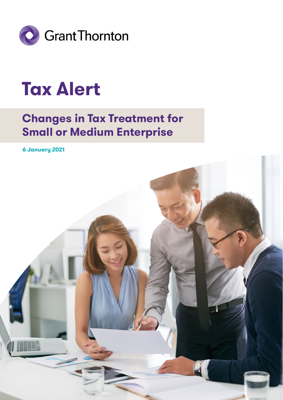

### **Tax Alert**

### **Changes in Tax Treatment for Small or Medium Enterprise**

**6 January 2021**

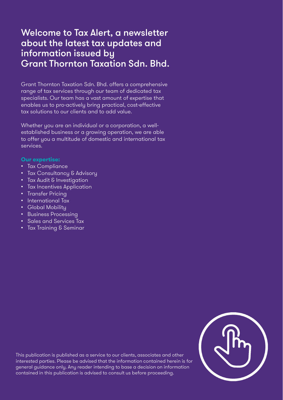### Welcome to Tax Alert, a newsletter about the latest tax updates and information issued by Grant Thornton Taxation Sdn. Bhd.

Grant Thornton Taxation Sdn. Bhd. offers a comprehensive range of tax services through our team of dedicated tax specialists. Our team has a vast amount of expertise that enables us to pro-actively bring practical, cost-effective tax solutions to our clients and to add value.

Whether you are an individual or a corporation, a wellestablished business or a growing operation, we are able to offer you a multitude of domestic and international tax services.

#### **Our expertise:**

- Tax Compliance
- Tax Consultancy & Advisory
- Tax Audit & Investigation
- Tax Incentives Application
- Transfer Pricing
- International Tax
- Global Mobility
- Business Processing
- Sales and Services Tax
- Tax Training & Seminar



This publication is published as a service to our clients, associates and other interested parties. Please be advised that the information contained herein is for general guidance only. Any reader intending to base a decision on information contained in this publication is advised to consult us before proceeding.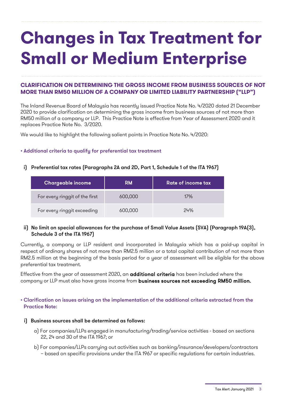# **Changes in Tax Treatment for Small or Medium Enterprise**

#### **CLARIFICATION ON DETERMINING THE GROSS INCOME FROM BUSINESS SOURCES OF NOT MORE THAN RM50 MILLION OF A COMPANY OR LIMITED LIABILITY PARTNERSHIP ("LLP")**

The Inland Revenue Board of Malaysia has recently issued Practice Note No. 4/2020 dated 21 December 2020 to provide clarification on determining the gross income from business sources of not more than RM50 million of a company or LLP. This Practice Note is effective from Year of Assessment 2020 and it replaces Practice Note No. 3/2020.

We would like to highlight the following salient points in Practice Note No. 4/2020:

#### • Additional criteria to qualify for preferential tax treatment

#### i) Preferential tax rates (Paragraphs 2A and 2D, Part 1, Schedule 1 of the ITA 1967)

| <b>Chargeable income</b>       | <b>RM</b> | <b>Rate of income tax</b> |
|--------------------------------|-----------|---------------------------|
| For every ringgit of the first | 600,000   | 17%                       |
| For every ringgit exceeding    | 600,000   | 24%                       |

#### ii) No limit on special allowances for the purchase of Small Value Assets (SVA) (Paragraph 19A(3), Schedule 3 of the ITA 1967)

Currently, a company or LLP resident and incorporated in Malaysia which has a paid-up capital in respect of ordinary shares of not more than RM2.5 million or a total capital contribution of not more than RM2.5 million at the beginning of the basis period for a year of assessment will be eligible for the above preferential tax treatment.

Effective from the year of assessment 2020, an **additional criteria** has been included where the company or LLP must also have gross income from business sources not exceeding RM50 million.

#### • Clarification on issues arising on the implementation of the additional criteria extracted from the Practice Note:

#### i) Business sources shall be determined as follows:

- a) For companies/LLPs engaged in manufacturing/trading/service activities based on sections 22, 24 and 30 of the ITA 1967; or
- b) For companies/LLPs carrying out activities such as banking/insurance/developers/contractors – based on specific provisions under the ITA 1967 or specific regulations for certain industries.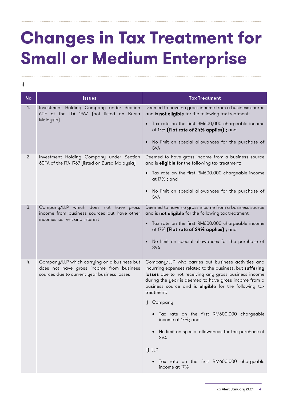# **Changes in Tax Treatment for Small or Medium Enterprise**

ii)

| <b>No</b>                                                                                                                    | <b>Issues</b>                                                                                                                                                        | <b>Tax Treatment</b>                                                                                                                                                                                                                                                                                      |
|------------------------------------------------------------------------------------------------------------------------------|----------------------------------------------------------------------------------------------------------------------------------------------------------------------|-----------------------------------------------------------------------------------------------------------------------------------------------------------------------------------------------------------------------------------------------------------------------------------------------------------|
| 1.<br>Investment Holding Company under Section<br>60F of the ITA 1967 (not listed on Bursa<br>Malaysia)                      | Deemed to have no gross income from a business source<br>and is not eligible for the following tax treatment:<br>• Tax rate on the first RM600,000 chargeable income |                                                                                                                                                                                                                                                                                                           |
|                                                                                                                              | at 17% (Flat rate of 24% applies) ; and<br>No limit on special allowances for the purchase of<br><b>SVA</b>                                                          |                                                                                                                                                                                                                                                                                                           |
| 2.<br>Investment Holding Company under Section<br>60FA of the ITA 1967 (listed on Bursa Malaysia)                            | Deemed to have gross income from a business source<br>and is <b>eligible</b> for the following tax treatment:                                                        |                                                                                                                                                                                                                                                                                                           |
|                                                                                                                              |                                                                                                                                                                      | Tax rate on the first RM600,000 chargeable income<br>at 17% ; and                                                                                                                                                                                                                                         |
|                                                                                                                              |                                                                                                                                                                      | No limit on special allowances for the purchase of<br><b>SVA</b>                                                                                                                                                                                                                                          |
| 3.<br>Company/LLP which does not have gross<br>income from business sources but have other<br>incomes i.e. rent and interest |                                                                                                                                                                      | Deemed to have no gross income from a business source<br>and is not eligible for the following tax treatment:                                                                                                                                                                                             |
|                                                                                                                              |                                                                                                                                                                      | Tax rate on the first RM600,000 chargeable income<br>at 17% (Flat rate of 24% applies) ; and                                                                                                                                                                                                              |
|                                                                                                                              | No limit on special allowances for the purchase of<br><b>SVA</b>                                                                                                     |                                                                                                                                                                                                                                                                                                           |
| 4.                                                                                                                           | Company/LLP which carrying on a business but<br>does not have gross income from business<br>sources due to current year business losses                              | Company/LLP who carries out business activities and<br>incurring expenses related to the business, but suffering<br>losses due to not receiving any gross business income<br>during the year is deemed to have gross income from a<br>business source and is eligible for the following tax<br>treatment: |
|                                                                                                                              |                                                                                                                                                                      | i) Company                                                                                                                                                                                                                                                                                                |
|                                                                                                                              |                                                                                                                                                                      | Tax rate on the first RM600,000 chargeable<br>income at 17%; and                                                                                                                                                                                                                                          |
|                                                                                                                              |                                                                                                                                                                      | No limit on special allowances for the purchase of<br><b>SVA</b>                                                                                                                                                                                                                                          |
|                                                                                                                              |                                                                                                                                                                      | ii) LLP                                                                                                                                                                                                                                                                                                   |
|                                                                                                                              |                                                                                                                                                                      | Tax rate on the first RM600,000 chargeable<br>income at 17%                                                                                                                                                                                                                                               |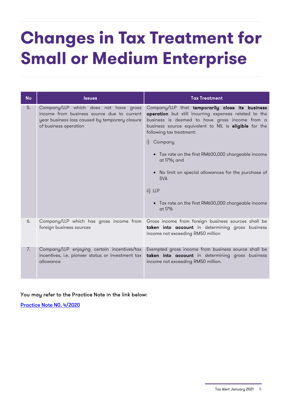## **Changes in Tax Treatment for Small or Medium Enterprise**

| <b>No</b> | <b>Issues</b>                                                                                                                                                  | <b>Tax Treatment</b>                                                                                                                                                                                                                                                                                                                                                                                                                                                                  |
|-----------|----------------------------------------------------------------------------------------------------------------------------------------------------------------|---------------------------------------------------------------------------------------------------------------------------------------------------------------------------------------------------------------------------------------------------------------------------------------------------------------------------------------------------------------------------------------------------------------------------------------------------------------------------------------|
| 5.        | Company/LLP which does not have gross<br>income from business source due to current<br>year business loss caused by temporary closure<br>of business operation | Company/LLP that temporarily close its business<br>operation but still incurring expenses related to the<br>business is deemed to have gross income from a<br>business source equivalent to NIL is eligible for the<br>following tax treatment:<br>i) Company<br>• Tax rate on the first RM600,000 chargeable income<br>at 17%; and<br>• No limit on special allowances for the purchase of<br><b>SVA</b><br>ii) LLP<br>• Tax rate on the first RM600,000 chargeable income<br>at 17% |
| 6.        | Company/LLP which has gross income from<br>foreign business sources                                                                                            | Gross income from foreign business sources shall be<br>taken into account in determining gross business<br>income not exceeding RM50 million                                                                                                                                                                                                                                                                                                                                          |
| 7.        | Company/LLP enjoying certain incentives/tax<br>incentives, i.e. pioneer status or investment tax<br>allowance                                                  | Exempted gross income from business source shall be<br>taken into account in determining gross business<br>income not exceeding RM50 million.                                                                                                                                                                                                                                                                                                                                         |

#### You may refer to the Practice Note in the link below:

[Practice](http://phl.hasil.gov.my/pdf/pdfam/PN_4_2020.pdf) Note N0. 4/2020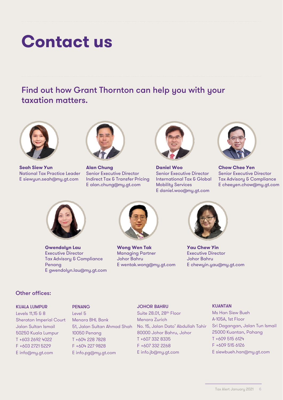### **Contact us**

Find out how Grant Thornton can help you with your taxation matters.



**Seah Siew Yun** National Tax Practice Leader E siewyun.seah@my.gt.com



**Alan Chung** Senior Executive Director Indirect Tax & Transfer Pricing E alan.chung@my.gt.com



**Daniel Woo** Senior Executive Director International Tax & Global Mobility Services E daniel.woo@my.gt.com



**Chow Chee Yen** Senior Executive Director Tax Advisory & Compliance E cheeyen.chow@my.gt.com



**Gwendolyn Lau** Executive Director Tax Advisory & Compliance Penang E gwendolyn.lau@my.gt.com



**Wong Wen Tak** Managing Partner Johor Bahru E wentak.wong@my.gt.com



**Yau Chew Yin** Executive Director Johor Bahru E chewyin.yau@my.gt.com

#### Other offices:

KUALA LUMPUR

Levels 11,15 & 8 Sheraton Imperial Court Jalan Sultan Ismail 50250 Kuala Lumpur T +603 2692 4022 F +603 2721 5229 E info@my.gt.com

#### **PENANG**

Level 5 Menara BHL Bank 51, Jalan Sultan Ahmad Shah 10050 Penang T +604 228 7828 F +604 227 9828 E info.pg@my.gt.com

#### JOHOR BAHRU

Suite 28.01, 28th Floor Menara Zurich No. 15, Jalan Dato' Abdullah Tahir 80000 Johor Bahru, Johor T +607 332 8335 F +607 332 2268 E info.jb@my.gt.com

#### **KUANTAN**

Ms Han Siew Bueh A-105A, 1st Floor Sri Dagangan, Jalan Tun Ismail 25000 Kuantan, Pahang T +609 515 6124 F +609 515 6126 E siewbueh.han@my.gt.com